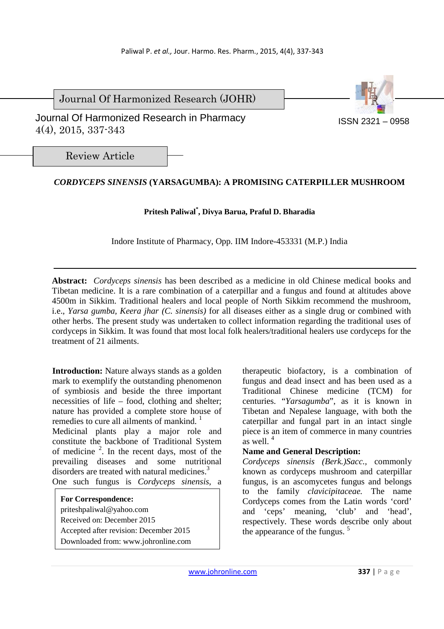Journal Of Harmonized Research (JOHR)

 Journal Of Harmonized Research in Pharmacy 4(4), 2015, 337-343

ISSN 2321 – 0958

Review Article

# *CORDYCEPS SINENSIS* **(YARSAGUMBA): A PROMISING CATERPILLER MUSHROOM**

# **Pritesh Paliwal\* , Divya Barua, Praful D. Bharadia**

Indore Institute of Pharmacy, Opp. IIM Indore-453331 (M.P.) India

**Abstract:** *Cordyceps sinensis* has been described as a medicine in old Chinese medical books and Tibetan medicine. It is a rare combination of a caterpillar and a fungus and found at altitudes above 4500m in Sikkim. Traditional healers and local people of North Sikkim recommend the mushroom, i.e., *Yarsa gumba, Keera jhar (C. sinensis)* for all diseases either as a single drug or combined with other herbs. The present study was undertaken to collect information regarding the traditional uses of cordyceps in Sikkim. It was found that most local folk healers/traditional healers use cordyceps for the treatment of 21 ailments.

**Introduction:** Nature always stands as a golden mark to exemplify the outstanding phenomenon of symbiosis and beside the three important necessities of life – food, clothing and shelter; nature has provided a complete store house of remedies to cure all ailments of mankind.  $<sup>1</sup>$ </sup>

Medicinal plants play a major role and constitute the backbone of Traditional System of medicine  $2$ . In the recent days, most of the prevailing diseases and some nutritional disorders are treated with natural medicines.<sup>3</sup> One such fungus is *Cordyceps sinensis*, a

**For Correspondence:**  priteshpaliwal@yahoo.com Received on: December 2015 Accepted after revision: December 2015 Downloaded from: www.johronline.com

therapeutic biofactory, is a combination of fungus and dead insect and has been used as a Traditional Chinese medicine (TCM) for centuries. "*Yarsagumba*", as it is known in Tibetan and Nepalese language, with both the caterpillar and fungal part in an intact single piece is an item of commerce in many countries as well  $4$ 

# **Name and General Description:**

*Cordyceps sinensis (Berk.)Sacc.,* commonly known as cordyceps mushroom and caterpillar fungus, is an ascomycetes fungus and belongs to the family *clavicipitaceae.* The name Cordyceps comes from the Latin words 'cord' and 'ceps' meaning, 'club' and 'head', respectively. These words describe only about the appearance of the fungus. <sup>5</sup>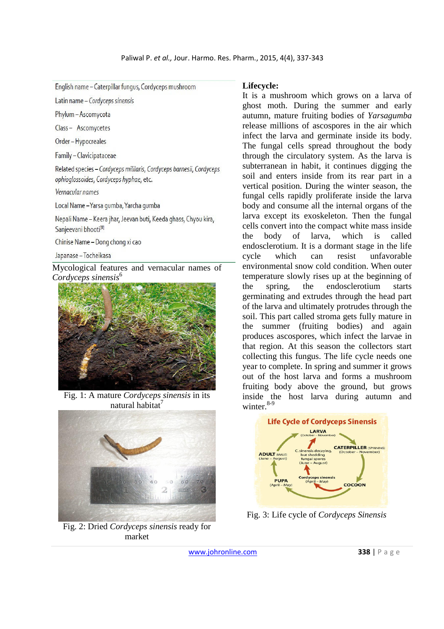| English name - Caterpillar fungus, Cordyceps mushroom |  |  |
|-------------------------------------------------------|--|--|
|                                                       |  |  |

Latin name - Cordyceps sinensis

Phylum - Ascomycota

Class-Ascomvcetes

Order-Hypocreales

Family - Clavicipataceae

Related species - Cordyceps mililaris, Cordyceps barnesii, Cordyceps ophioglossoides, Cordyceps hyphae, etc.

Vernacular names

Local Name - Yarsa gumba, Yarcha gumba

Nepali Name - Keera jhar, Jeevan buti, Keeda ghass, Chyou kira, Sanjeevani bhooti<sup>[8]</sup>

Chinise Name - Dong chong xi cao

Japanase - Tocheikasa

Mycological features and vernacular names of *Cordyceps sinensis*<sup>6</sup>



Fig. 1: A mature *Cordyceps sinensis* in its natural habitat $^7$ 



Fig. 2: Dried *Cordyceps sinensis* ready for market

#### **Lifecycle:**

It is a mushroom which grows on a larva of ghost moth. During the summer and early autumn, mature fruiting bodies of *Yarsagumba* release millions of ascospores in the air which infect the larva and germinate inside its body. The fungal cells spread throughout the body through the circulatory system. As the larva is subterranean in habit, it continues digging the soil and enters inside from its rear part in a vertical position. During the winter season, the fungal cells rapidly proliferate inside the larva body and consume all the internal organs of the larva except its exoskeleton. Then the fungal cells convert into the compact white mass inside the body of larva, which is called endosclerotium. It is a dormant stage in the life cycle which can resist unfavorable environmental snow cold condition. When outer temperature slowly rises up at the beginning of the spring, the endosclerotium starts germinating and extrudes through the head part of the larva and ultimately protrudes through the soil. This part called stroma gets fully mature in the summer (fruiting bodies) and again produces ascospores, which infect the larvae in that region. At this season the collectors start collecting this fungus. The life cycle needs one year to complete. In spring and summer it grows out of the host larva and forms a mushroom fruiting body above the ground, but grows inside the host larva during autumn and winter.<sup>8-9</sup>



Fig. 3: Life cycle of *Cordyceps Sinensis*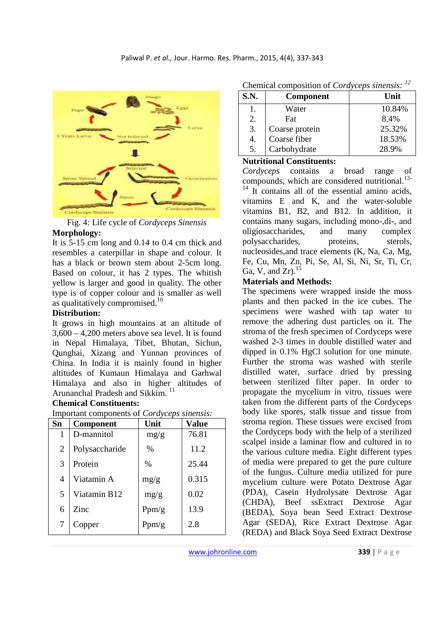

Fig. 4: Life cycle of *Cordyceps Sinensis*  **Morphology:**

It is 5-15 cm long and 0.14 to 0.4 cm thick and resembles a caterpillar in shape and colour. It has a black or brown stem about 2-5cm long. Based on colour, it has 2 types. The whitish yellow is larger and good in quality. The other type is of copper colour and is smaller as well as qualitatively compromised.<sup>10</sup>

### **Distribution:**

It grows in high mountains at an altitude of 3,600 – 4,200 meters above sea level. It is found in Nepal Himalaya, Tibet, Bhutan, Sichun, Qunghai, Xizang and Yunnan provinces of China. In India it is mainly found in higher altitudes of Kumaun Himalaya and Garhwal Himalaya and also in higher altitudes of Arunanchal Pradesh and Sikkim.<sup>11</sup>

### **Chemical Constituents:**

| Important components of <i>Cordyceps sinensis</i> : |                |       |       |  |  |
|-----------------------------------------------------|----------------|-------|-------|--|--|
| Sn                                                  | Component      | Unit  | Value |  |  |
|                                                     | D-mannitol     | mg/g  | 76.81 |  |  |
| 2                                                   | Polysaccharide | $\%$  | 11.2  |  |  |
| 3                                                   | Protein        | $\%$  | 25.44 |  |  |
| 4                                                   | Viatamin A     | mg/g  | 0.315 |  |  |
| 5                                                   | Viatamin B12   | mg/g  | 0.02  |  |  |
| 6                                                   | Zinc           | Ppm/g | 13.9  |  |  |
|                                                     |                | Ppm/g | 2.8   |  |  |

Chemical composition of *Cordyceps sinensis: <sup>12</sup>*

| S.N. | <b>Component</b> | Unit   |
|------|------------------|--------|
|      | Water            | 10.84% |
| 2.   | Fat              | 8.4%   |
| 3.   | Coarse protein   | 25.32% |
| 4.   | Coarse fiber     | 18.53% |
| 5.   | Carbohydrate     | 28.9%  |

#### **Nutritional Constituents:**

*Cordyceps* contains a broad range of compounds, which are considered nutritional.<sup>13-</sup>  $14$  It contains all of the essential amino acids, vitamins E and K, and the water-soluble vitamins B1, B2, and B12. In addition, it contains many sugars, including mono-,di-, and oligiosaccharides, and many complex polysaccharides, proteins, sterols, nucleosides,and trace elements (K, Na, Ca, Mg, Fe, Cu, Mn, Zn, Pi, Se, Al, Si, Ni, Sr, Ti, Cr,

# **Materials and Methods:**

Ga, V, and  $Zr$ ).<sup>15</sup>

The specimens were wrapped inside the moss plants and then packed in the ice cubes. The specimens were washed with tap water to remove the adhering dust particles on it. The stroma of the fresh specimen of Cordyceps were washed 2-3 times in double distilled water and dipped in 0.1% HgCl solution for one minute. Further the stroma was washed with sterile distilled water, surface dried by pressing between sterilized filter paper. In order to propagate the mycelium in vitro, tissues were taken from the different parts of the Cordyceps body like spores, stalk tissue and tissue from stroma region. These tissues were excised from the Cordyceps body with the help of a sterilized scalpel inside a laminar flow and cultured in to the various culture media. Eight different types of media were prepared to get the pure culture of the fungus. Culture media utilized for pure mycelium culture were Potato Dextrose Agar (PDA), Casein Hydrolysate Dextrose Agar (CHDA), Beef ssExtract Dextrose Agar (BEDA), Soya bean Seed Extract Dextrose Agar (SEDA), Rice Extract Dextrose Agar (REDA) and Black Soya Seed Extract Dextrose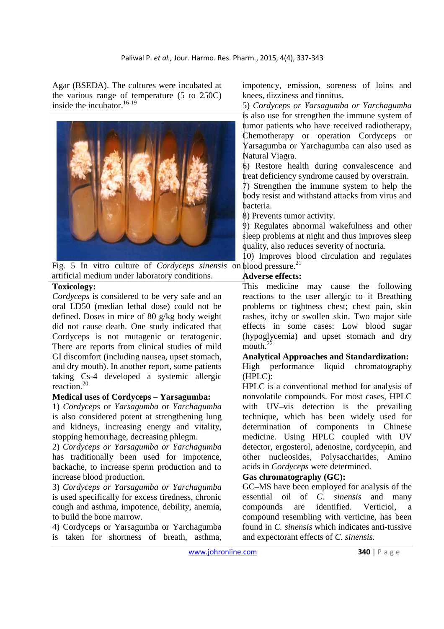Agar (BSEDA). The cultures were incubated at the various range of temperature (5 to 250C) inside the incubator.<sup>16-19</sup>



Fig. 5 In vitro culture of *Cordyceps sinensis* on plood pressure.<sup>21</sup> artificial medium under laboratory conditions.

### **Toxicology:**

*Cordyceps* is considered to be very safe and an oral LD50 (median lethal dose) could not be defined. Doses in mice of 80 g/kg body weight did not cause death. One study indicated that Cordyceps is not mutagenic or teratogenic. There are reports from clinical studies of mild GI discomfort (including nausea, upset stomach, and dry mouth). In another report, some patients taking Cs-4 developed a systemic allergic reaction<sup>20</sup>

### **Medical uses of Cordyceps – Yarsagumba:**

1) *Cordyceps* or *Yarsagumba* or *Yarchagumba* is also considered potent at strengthening lung and kidneys, increasing energy and vitality, stopping hemorrhage, decreasing phlegm.

2) *Cordyceps or Yarsagumba or Yarchagumba* has traditionally been used for impotence, backache, to increase sperm production and to increase blood production.

3) *Cordyceps or Yarsagumba or Yarchagumba* is used specifically for excess tiredness, chronic cough and asthma, impotence, debility, anemia, to build the bone marrow.

4) Cordyceps or Yarsagumba or Yarchagumba is taken for shortness of breath, asthma, impotency, emission, soreness of loins and knees, dizziness and tinnitus.

5) *Cordyceps or Yarsagumba or Yarchagumba* is also use for strengthen the immune system of tumor patients who have received radiotherapy, Chemotherapy or operation Cordyceps or Yarsagumba or Yarchagumba can also used as Natural Viagra.

6) Restore health during convalescence and treat deficiency syndrome caused by overstrain.

7) Strengthen the immune system to help the body resist and withstand attacks from virus and bacteria.

8) Prevents tumor activity.

9) Regulates abnormal wakefulness and other sleep problems at night and thus improves sleep quality, also reduces severity of nocturia.

10) Improves blood circulation and regulates

### **Adverse effects:**

This medicine may cause the following reactions to the user allergic to it Breathing problems or tightness chest; chest pain, skin rashes, itchy or swollen skin. Two major side effects in some cases: Low blood sugar (hypoglycemia) and upset stomach and dry mouth. $^{2}$ 

### **Analytical Approaches and Standardization:**

High performance liquid chromatography (HPLC):

HPLC is a conventional method for analysis of nonvolatile compounds. For most cases, HPLC with UV–vis detection is the prevailing technique, which has been widely used for determination of components in Chinese medicine. Using HPLC coupled with UV detector, ergosterol, adenosine, cordycepin, and other nucleosides, Polysaccharides, Amino acids in *Cordyceps* were determined.

### **Gas chromatography (GC):**

GC–MS have been employed for analysis of the essential oil of *C. sinensis* and many compounds are identified. Verticiol, a compound resembling with verticine, has been found in *C. sinensis* which indicates anti-tussive and expectorant effects of *C. sinensis.*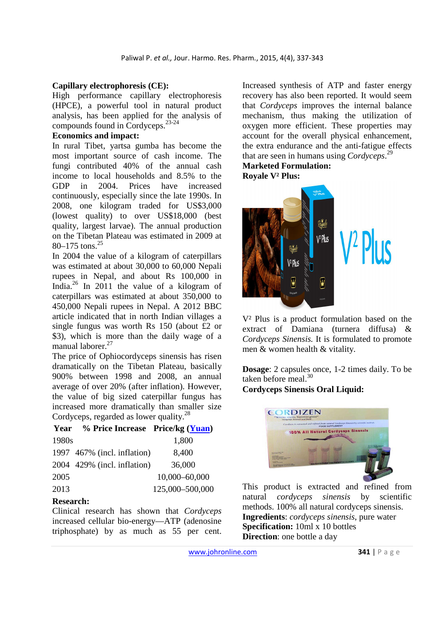### **Capillary electrophoresis (CE):**

High performance capillary electrophoresis (HPCE), a powerful tool in natural product analysis, has been applied for the analysis of compounds found in Cordyceps.23-24

### **Economics and impact:**

In rural Tibet, yartsa gumba has become the most important source of cash income. The fungi contributed 40% of the annual cash income to local households and 8.5% to the GDP in 2004. Prices have increased continuously, especially since the late 1990s. In 2008, one kilogram traded for US\$3,000 (lowest quality) to over US\$18,000 (best quality, largest larvae). The annual production on the Tibetan Plateau was estimated in 2009 at 80–175 tons. $25$ 

In 2004 the value of a kilogram of caterpillars was estimated at about 30,000 to 60,000 Nepali rupees in Nepal, and about Rs 100,000 in India.<sup>26</sup> In 2011 the value of a kilogram of caterpillars was estimated at about 350,000 to 450,000 Nepali rupees in Nepal. A 2012 BBC article indicated that in north Indian villages a single fungus was worth Rs 150 (about £2 or \$3), which is more than the daily wage of a manual laborer.<sup>27</sup>

The price of Ophiocordyceps sinensis has risen dramatically on the Tibetan Plateau, basically 900% between 1998 and 2008, an annual average of over 20% (after inflation). However, the value of big sized caterpillar fungus has increased more dramatically than smaller size Cordyceps, regarded as lower quality.<sup>28</sup>

### **Year % Price Increase Price/kg (Yuan)**

| 1980s |                             | 1,800           |
|-------|-----------------------------|-----------------|
|       | 1997 467% (incl. inflation) | 8,400           |
|       | 2004 429% (incl. inflation) | 36,000          |
| 2005  |                             | 10,000-60,000   |
| 2013  |                             | 125,000-500,000 |

### **Research:**

Clinical research has shown that *Cordyceps* increased cellular bio-energy—ATP (adenosine triphosphate) by as much as 55 per cent. Increased synthesis of ATP and faster energy recovery has also been reported. It would seem that *Cordyceps* improves the internal balance mechanism, thus making the utilization of oxygen more efficient. These properties may account for the overall physical enhancement, the extra endurance and the anti-fatigue effects that are seen in humans using *Cordyceps*. 29 **Marketed Formulation:** 

**Royale V² Plus:** 



V² Plus is a product formulation based on the extract of Damiana (turnera diffusa) & *Cordyceps Sinensis.* It is formulated to promote men & women health & vitality.

**Dosage**: 2 capsules once, 1-2 times daily. To be taken before meal. $30$ 

### **Cordyceps Sinensis Oral Liquid:**



This product is extracted and refined from natural *cordyceps sinensis* by scientific methods. 100% all natural cordyceps sinensis. **Ingredients**: *cordyceps sinensis*, pure water **Specification:** 10ml x 10 bottles **Direction**: one bottle a day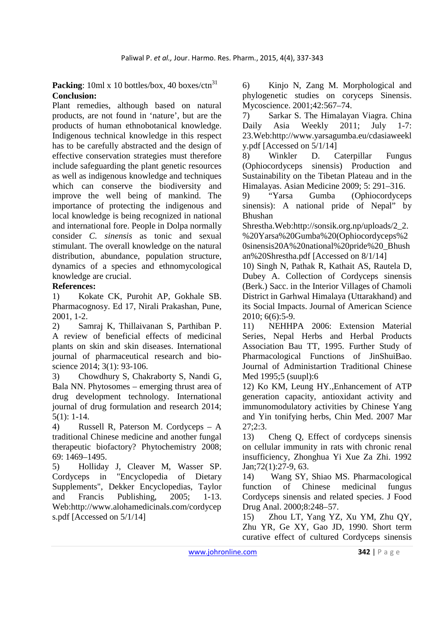**Packing**: 10ml x 10 bottles/box, 40 boxes/ctn<sup>31</sup> **Conclusion:**

Plant remedies, although based on natural products, are not found in 'nature', but are the products of human ethnobotanical knowledge. Indigenous technical knowledge in this respect has to be carefully abstracted and the design of effective conservation strategies must therefore include safeguarding the plant genetic resources as well as indigenous knowledge and techniques which can conserve the biodiversity and improve the well being of mankind. The importance of protecting the indigenous and local knowledge is being recognized in national and international fore. People in Dolpa normally consider *C. sinensis* as tonic and sexual stimulant. The overall knowledge on the natural distribution, abundance, population structure, dynamics of a species and ethnomycological knowledge are crucial.

# **References:**

1) Kokate CK, Purohit AP, Gokhale SB. Pharmacognosy. Ed 17, Nirali Prakashan, Pune, 2001, 1-2.

2) Samraj K, Thillaivanan S, Parthiban P. A review of beneficial effects of medicinal plants on skin and skin diseases. International journal of pharmaceutical research and bioscience 2014; 3(1): 93-106.

3) Chowdhury S, Chakraborty S, Nandi G, Bala NN. Phytosomes – emerging thrust area of drug development technology. International journal of drug formulation and research 2014; 5(1): 1-14.

4) Russell R, Paterson M. Cordyceps – A traditional Chinese medicine and another fungal therapeutic biofactory? Phytochemistry 2008; 69: 1469–1495.

5) Holliday J, Cleaver M, Wasser SP. Cordyceps in "Encyclopedia of Dietary Supplements", Dekker Encyclopedias, Taylor and Francis Publishing, 2005; 1-13. Web:http://www.alohamedicinals.com/cordycep s.pdf [Accessed on 5/1/14]

6) Kinjo N, Zang M. Morphological and phylogenetic studies on coryceps Sinensis. Mycoscience. 2001;42:567–74.

7) Sarkar S. The Himalayan Viagra. China Daily Asia Weekly 2011; July 1-7: 23.Web:http://www.yarsagumba.eu/cdasiaweekl y.pdf [Accessed on 5/1/14]

8) Winkler D. Caterpillar Fungus (Ophiocordyceps sinensis) Production and Sustainability on the Tibetan Plateau and in the Himalayas. Asian Medicine 2009; 5: 291–316.

9) "Yarsa Gumba (Ophiocordyceps sinensis): A national pride of Nepal" by Bhushan

Shrestha.Web:http://sonsik.org.np/uploads/2\_2. %20Yarsa%20Gumba%20(Ophiocordyceps%2 0sinensis20A%20national%20pride%20\_Bhush an%20Shrestha.pdf [Accessed on 8/1/14]

10) Singh N, Pathak R, Kathait AS, Rautela D, Dubey A. Collection of Cordyceps sinensis (Berk.) Sacc. in the Interior Villages of Chamoli District in Garhwal Himalaya (Uttarakhand) and its Social Impacts. Journal of American Science 2010; 6(6):5-9.

11) NEHHPA 2006: Extension Material Series, Nepal Herbs and Herbal Products Association Bau TT, 1995. Further Study of Pharmacological Functions of JinShuiBao. Journal of Administartion Traditional Chinese Med 1995;5 (suupl):6

12) Ko KM, Leung HY.,Enhancement of ATP generation capacity, antioxidant activity and immunomodulatory activities by Chinese Yang and Yin tonifying herbs, Chin Med. 2007 Mar 27;2:3.

13) Cheng Q, Effect of cordyceps sinensis on cellular immunity in rats with chronic renal insufficiency, Zhonghua Yi Xue Za Zhi. 1992 Jan;72(1):27-9, 63.

14) Wang SY, Shiao MS. Pharmacological function of Chinese medicinal fungus Cordyceps sinensis and related species. J Food Drug Anal. 2000;8:248–57.

15) Zhou LT, Yang YZ, Xu YM, Zhu QY, Zhu YR, Ge XY, Gao JD, 1990. Short term curative effect of cultured Cordyceps sinensis